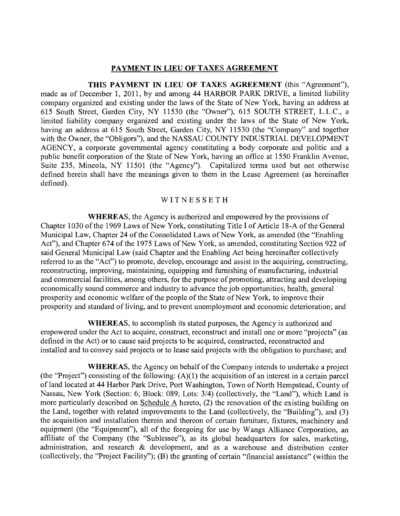#### PAYMENT IN LIEU OF TAXES AGREEMENT

THIS PAYMENT IN LIEU OF TAXES AGREEMENT (this "Agreement"), made as of December 1, 2011, by and among 44 HARBOR PARK DRIVE, a limited liability company organized and existing under the laws of the State of New York, having an address at 615 South Street, Garden City, NY 11530 (the "Owner"), 615 SOUTH STREET, L.L.C., a limited liability company organized and existing under the laws of the State of New York, having an address at 615 South Street, Garden City, NY 11530 (the "Company" and together with the Owner, the "Obligors"), and the NASSAU COUNTY INDUSTRIAL DEVELOPMENT AGENCY, a corporate govemmental agency constituting a body corporate and politic and a public benefit corporation of the State of New York, having an office at 1550 Franklin Avenue, Suite 235, Mineola, NY 11501 (the "Agency"). Capitalized terrns used but not otherwise defined herein shall have the meanings given to them in the Lease Agreement (as hereinafter defined).

#### WITNESSETH

WHEREAS, the Agency is authorized and empowered by the provisions of Chapter 1030 of the 1969 Laws of New York, constituting Title I of Article 18-A of the General Municipal Law, Chapter 24 of the Consolidated Laws of New York, as amended (the "Enabling Act"), and Chapter 674 of the 1975 Laws of New York, as amended, constituting Section 922 of said General Municipal Law (said Chapter and the Enabling Act being hereinafter collectively referred to as the "Act") to promote, develop, encourage and assist in the acquiring, constructing, reconstructing, improving, maintaining, equipping and fumishing of manufacturing, industrial and commercial facilities, among others, for the purpose of promoting, attracting and developing economically sound commerce and industry to advance the job opportunities, health, general prosperity and economic welfare of the people of the State of New York, to improve their prosperity and standard of living, and to prevent unemployment and economic deterioration; and

WHEREAS, to accomplish its stated purposes, the Agency is authorized and empowered under the Act to acquire, construct, reconstruct and install one or more "projects" (as defined in the Act) or to cause said projects to be acquired, constructed, reconstructed and installed and to convey said projects or to lease said projects with the obligation to purchase; and

WHEREAS, the Agency on behalf of the Company intends to undertake a project (the "Project") consisting of the following:  $(A)(1)$  the acquisition of an interest in a certain parcel of land located at 44 Harbor Park Drive, Port Washington, Town of North Hempstead, County of Nassau, New York (Section: 6; Block: 089; Lots: 3/4) (collectively, the "Land"), which Land is more particularly described on Schedule A hereto, (2) the renovation of the existing building on the Land, together with related improvements to the Land (collectively, the "Building"), and (3) the acquisition and installation therein and thereon of certain fumiture, fixtures, machinery and equipment (the "Equipment"), all of the foregoing for use by Wangs Alliance Corporation, an affiliate of the Company (the "Sublessee"), as its global headquarters for sales, marketing, administration, and research & development, and as a warehouse and distribution center (collectively, the "Project Facility"); (B) the granting of certain "financial assistance" (within the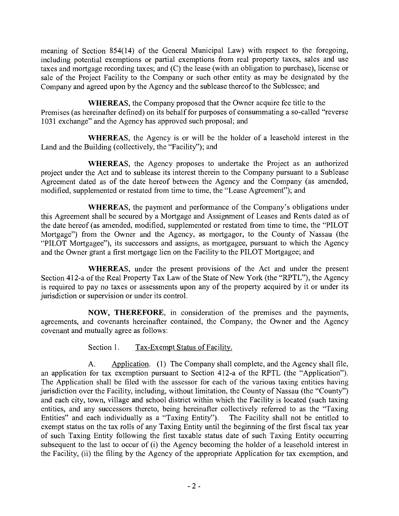meaning of Section 854(14) of the General Municipal Law) with respect to the foregoing, including potential exemptions or partial exemptions from real property taxes, sales and use taxes and mortgage recording taxes; and (C) the lease (with an obligation to purchase), license or sale of the Project Facility to the Company or such other entity as may be designated by the Company and agreed upon by the Agency and the sublease thereof to the Sublessee; and

WHEREAS, the Company proposed that the Owner acquire fee title to the Premises (as hereinafter defined) on its behalf for purposes of consummating a so-called "reverse 1031 exchange" and the Agency has approved such proposal; and

WHEREAS, the Agency is or will be the holder of a leasehold interest in the Land and the Building (collectively, the "Facility"); and

WHEREAS, the Agency proposes to undertake the Project as an authorized project under the Act and to sublease its interest therein to the Company pursuant to a Sublease Agreement dated as of the date hereof between the Agency and the Company (as amended, modified, supplemented or restated from time to time, the "Lease Agreement"); and

WHEREAS, the payment and performance of the Company's obligations under this Agreement shall be secured by a Mortgage and Assigment of Leases and Rents dated as of the date hereof (as amended, modified, supplemented or restated from time to time, the "PILOT Mortgage") from the Owner and the Agency, as mortgagor, to the County of Nassau (the "PILOT Mortgagee"), its successors and assigns, as mortgagee, pursuant to which the Agency and the Owner grant a first mortgage lien on the Facility to the PILOT Mortgagee; and

WHEREAS, under the present provisions of the Act and under the present Section 412-a of the Real Property Tax Law of the State of New York (the "RPTL"), the Agency is required to pay no taxes or assessments upon any of the property acquired by it or under its jurisdiction or supervision or under its control.

NOW, THEREFORE, in consideration of the premises and the payments, agreements, and covenants hereinafter contained, the Company, the Owner and the Agency covenant and mutually agree as follows:

Section 1. Tax-Exempt Status of Facility.

A. Application. (1) The Company shall complete, and the Agency shall file, an application for tax exemption pursuant to Section 412-a of the RPTL (the "Application"). The Application shall be filed with the assessor for each of the various taxing entities having jurisdiction over the Facility, including, without limitation, the County of Nassau (the "County") and each city, town, village and school district within which the Facility is located (such taxing entities, and any successors thereto, being hereinafter collectively referred to as the "Taxing Entities" and each individually as a "Taxing Entity"). The Facility shall not be entitled to exempt status on the tax rolls of any Taxing Entity until the beginning of the first fiscal tax year of such Taxing Entity following the first taxable status date of such Taxing Entity occurring subsequent to the last to occur of (i) the Agency becoming the holder of a leasehold interest in the Facility, (ii) the filing by the Agency of the appropriate Application for tax exemption, and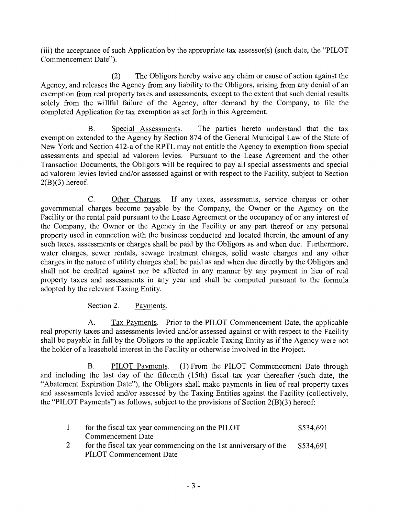(iii) the acceptance of such Application by the appropriate tax assessor(s) (such date, the "PILOT Commencement Date").

(2) The Obligors hereby waive any claim or cause of action against the Agency, and releases the Agency from any liability to the Obligors, arising from any denial of an exemption from real property taxes and assessments, except to the extent that such denial results solely from the willful failure of the Agency, after demand by the Company, to file the completed Application for tax exemption as set forth in this Agreement.

**B.** Special Assessments. The parties hereto understand that the tax exemption extended to the Agency by Section 874 of the General Municipal Law of the State of New York and Section 412-a of the RPTL may not entitle the Agency to exemption from special assessments and special ad valorem levies. Pursuant to the Lease Agreement and the other Transaction Documents, the Obligors will be required to pay all special assessments and special ad valorem levies levied and/or assessed against or with respect to the Facility, subject to Section  $2(B)(3)$  hereof.

 $C_{\cdot}$ Other Charges. If any taxes, assessments, service charges or other govemmental charges become payable by the Company, the Owner or the Agency on the Facility or the rental paid pursuant to the Lease Agreement or the occupancy of or any interest of the Company, the Owner or the Agency in the Facility or any part thereof or any personal property used in connection with the business conducted and located therein, the amount of any such taxes, assessments or charges shall be paid by the Obligors as and when due. Furthermore, water charges, sewer rentals, sewage treatment charges, solid waste charges and any other charges in the nature of utility charges shall be paid as and when due directly by the Obligors and shall not be credited against nor be affected in any manner by any payment in lieu of real property taxes and assessments in any year and shall be computed pursuant to the formula adopted by the relevant Taxing Entity.

Section 2. Payments.

 $A<sub>1</sub>$ Tax Payments. Prior to the PILOT Commencement Date, the applicable real property taxes and assessments levied and/or assessed against or with respect to the Facility shall be payable in full by the Obligors to the applicable Taxing Entity as if the Agency were not the holder of a leasehold interest in the Facility or otherwise involved in the Project.

 $B<sub>1</sub>$ PILOT Payments. (1) From the PILOT Commencement Date through and including the last day of the fifteenth (15th) fiscal tax year thereafter (such date, the "Abatement Expiration Date"), the Obligors shall make payments in lieu of real property taxes and assessments levied and/or assessed by the Taxing Entities against the Facility (collectively, the "PILOT Payments") as follows, subject to the provisions of Section 2(B)(3) hereof:

| for the fiscal tax year commencing on the PILOT                  | \$534,691 |
|------------------------------------------------------------------|-----------|
| Commencement Date                                                |           |
| for the fiscal tax year commencing on the 1st anniversary of the | \$534,691 |
| PILOT Commencement Date                                          |           |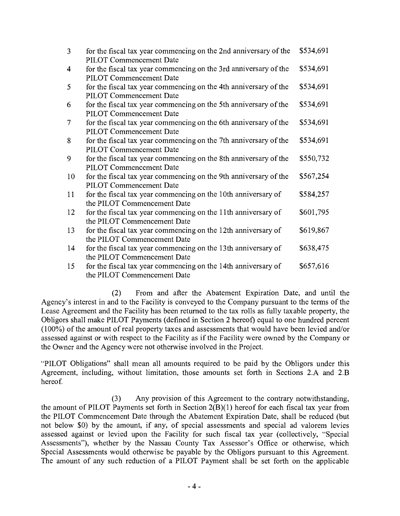| $\overline{3}$ | for the fiscal tax year commencing on the 2nd anniversary of the<br>PILOT Commencement Date  | \$534,691 |
|----------------|----------------------------------------------------------------------------------------------|-----------|
| 4              | for the fiscal tax year commencing on the 3rd anniversary of the<br>PILOT Commencement Date  | \$534,691 |
| 5              | for the fiscal tax year commencing on the 4th anniversary of the<br>PILOT Commencement Date  | \$534,691 |
| 6              | for the fiscal tax year commencing on the 5th anniversary of the<br>PILOT Commencement Date  | \$534,691 |
| $\overline{7}$ | for the fiscal tax year commencing on the 6th anniversary of the<br>PILOT Commencement Date  | \$534,691 |
| 8              | for the fiscal tax year commencing on the 7th anniversary of the<br>PILOT Commencement Date  | \$534,691 |
| 9              | for the fiscal tax year commencing on the 8th anniversary of the<br>PILOT Commencement Date  | \$550,732 |
| 10             | for the fiscal tax year commencing on the 9th anniversary of the<br>PILOT Commencement Date  | \$567,254 |
| 11             | for the fiscal tax year commencing on the 10th anniversary of<br>the PILOT Commencement Date | \$584,257 |
| 12             | for the fiscal tax year commencing on the 11th anniversary of<br>the PILOT Commencement Date | \$601,795 |
| 13             | for the fiscal tax year commencing on the 12th anniversary of<br>the PILOT Commencement Date | \$619,867 |
| 14             | for the fiscal tax year commencing on the 13th anniversary of<br>the PILOT Commencement Date | \$638,475 |
| 15             | for the fiscal tax year commencing on the 14th anniversary of<br>the PILOT Commencement Date | \$657,616 |

 $(2)$ From and after the Abatement Expiration Date, and until the Agency's interest in and to the Facility is conveyed to the Company pursuant to the terms of the Lease Agreement and the Facility has been retumed to the tax rolls as fully taxable property, the Obligors shall make PILOT Payments (defined in Section 2 hereof) equal to one hundred percent (100%) of the amount of real property taxes and assessments that would have been levied and/or assessed against or with respect to the Facility as if the Facility were owned by the Company or the Owner and the Agency were not otherwise involved in the Project.

"PILOT Obligations" shall mean all amounts required to be paid by the Obligors under this Agreement, including, without limitation, those amounts set forth in Sections 2.A and 2.B hereof

 $(3)$ Any provision of this Agreement to the contrary notwithstanding, the amount of PILOT Payments set forth in Section 2(B)(1) hereof for each fiscal tax year from the PILOT Commencement Date through the Abatement Expiration Date, shall be reduced (but not below \$0) by the amount, if any, of special assessments and special ad valorem levies assessed against or levied upon the Facility for such fiscal tax year (collectively, "Special Assessments"), whether by the Nassau County Tax Assessor's Office or otherwise, which Special Assessments would otherwise be payable by the Obligors pursuant to this Agreement. The amount of any such reduction of a PILOT Payment shall be set forth on the applicable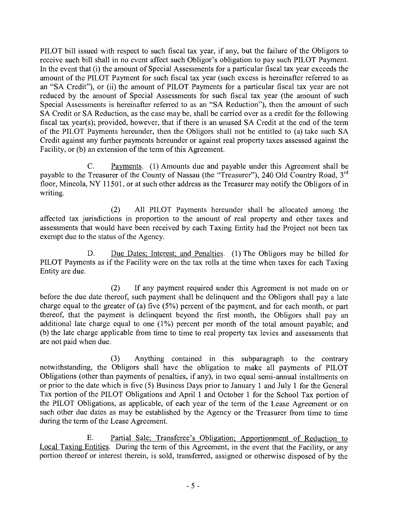PILOT bill issued with respect to such fiscal tax year, if any, but the failure of the Obligors to receive such bill shall in no event affect such Obligor's obligation to pay such PILOT Payment. In the event that (i) the amount of Special Assessments for a particular fiscal tax year exceeds the amount of the PILOT Payment for such fiscal tax year (such excess is hereinafter referred to as an "SA Credit"), or (ii) the amount of PILOT Payments for a particular fiscal tax year are not reduced by the amount of Special Assessments for such fiscal tax year (the amount of such Special Assessments is hereinafter referred to as an "SA Reduction"), then the amount of such SA Credit or SA Reduction, as the case may be, shall be carried over as a credit for the following fiscal tax year(s); provided, however, that if there is an unused SA Credit at the end of the terrn of the PILOT Payments hereunder, then the Obligors shall not be entitled to (a) take such SA Credit against any further payments hereunder or against real property taxes assessed against the Facility, or (b) an extension of the term of this Agreement.

C. Payments. (1) Amounts due and payable under this Agreement shall be payable to the Treasurer of the County of Nassau (the "Treasurer"), 240 Old Country Road,  $3<sup>rd</sup>$ floor, Mineola, NY 11501, or at such other address as the Treasurer may notify the Obligors of in writing.

(2) All PILOT Payments hereunder shall be allocated among the affected tax jurisdictions in proportion to the amount of real property and other taxes and assessments that would have been received by each Taxing Entity had the Project not been tax exempt due to the status of the Agency.

D. Due Dates; Interest; and Penalties. (1) The Obligors may be billed for PILOT Payments as if the Facility were on the tax rolls at the time when taxes for each Taxing Entity are due.

 $(2)$ If any payment required under this Agreement is not made on or before the due date thereof, such payment shall be delinquent and the Obligors shall pay a late charge equal to the greater of (a) five (5%) percent of the payrnent, and for each month, or part thereof, that the payment is delinquent beyond the first month, the Obligors shall pay an additional late charge equal to one (1%) percent per month of the total amount payable; and (b) the late charge applicable from time to time to real property tax levies and assessments that are not paid when due.

 $(3)$ Anything contained in this subparagraph to the contrary notwithstanding, the Obligors shall have the obligation to make all payments of PILOT Obligations (other than payments of penalties, if any), in two equal semi-annual installments on or prior to the date which is five (5) Business Days prior to January I and July I for the General Tax portion of the PILOT Obligations and April 1 and October 1 for the School Tax portion of the PILOT Obligations, as applicable, of each year of the tenn of the Lease Agreement or on such other due dates as may be established by the Agency or the Treasurer from time to time during the term of the Lease Agreement.

E. Partial Sale; Transferee's Obligation; Apportionment of Reduction to Local Taxing Entities. During the term of this Agreement, in the event that the Facility, or any portion thereof or interest therein, is sold, transferred, assigned or otherwise disposed of by the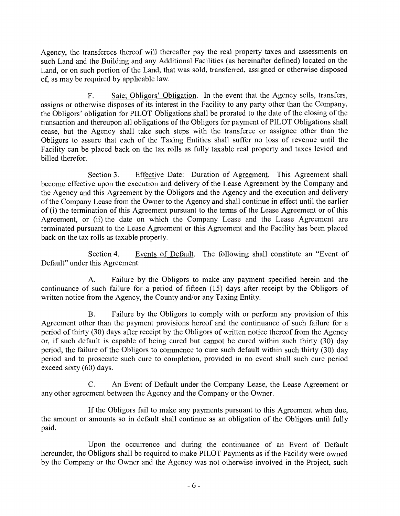Agency, the transferees thereof will thereafter pay the real property taxes and assessments on such Land and the Building and any Additional Facilities (as hereinafter defined) located on the Land, or on such portion of the Land, that was sold, transferred, assigned or otherwise disposed of, as may be required by applicable law.

F. Sale; Obligors' Obligation. In the event that the Agency sells, transfers, assigns or otherwise disposes of its interest in the Facility to any party other than the Company, the Obligors' obligation for PILOT Obligations shall be prorated to the date of the closing of the transaction and thereupon all obligations of the Obligors for payment of PILOT Obligations shall cease, but the Agency shall take such steps with the transferee or assignee other than the Obligors to assure that each of the Taxing Entities shall suffer no loss of revenue until the Facility can be placed back on the tax rolls as fully taxable real property and taxes levied and billed therefor.

Section 3. Effective Date: Duration of Agreement. This Agreement shall become effective upon the execution and delivery of the Lease Agreement by the Company and the Agency and this Agreement by the Obligors and the Agency and the execution and delivery of the Company Lease from the Owner to the Agency and shall continue in effect until the earlier of (i) the termination of this Agreement pursuant to the terms of the Lease Agreement or of this Agreement, or (ii) the date on which the Company Lease and the Lease Agreement are terminated pursuant to the Lease Agreement or this Agreement and the Facility has been placed back on the tax rolls as taxable property.

Section 4. Events of Default. The following shall constitute an "Event of Default" under this Agreement:

Failure by the Obligors to make any payment specified herein and the  $A<sub>1</sub>$ continuance of such failure for a period of fifteen (15) days after receipt by the Obligors of written notice from the Agency, the County and/or any Taxing Entity.

Failure by the Obligors to comply with or perform any provision of this **B.** Agreement other than the payment provisions hereof and the continuance of such failure for a period of thirty (30) days after receipt by the Obligors of written notice thereof from the Agency or, if such default is capable of being cured but cannot be cured within such thirty (30) day period, the failure of the Obligors to commence to cure such default within such thirty (30) day period and to prosecute such cure to completion, provided in no event shall such cure period exceed sixty (60) days.

 $C<sub>1</sub>$ An Event of Default under the Company Lease, the Lease Agreement or any other agreement between the Agency and the Company or the Owner.

If the Obligors fail to make any payments pursuant to this Agreement when due, the amount or amounts so in default shall continue as an obligation of the Obligors until fully paid.

Upon the occurrence and during the continuance of an Event of Default hereunder, the Obligors shall be required to make PILOT Payments as if the Facility were owned by the Company or the Owner and the Agency was not otherwise involved in the Project, such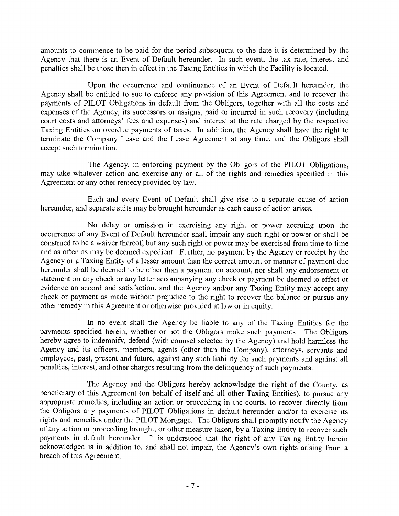amounts to commence to be paid for the period subsequent to the date it is determined by the Agency that there is an Event of Default hereunder. In such event, the tax rate, interest and penalties shall be those then in effect in the Taxing Entities in which the Facility is located.

Upon the occurrence and continuance of an Event of Default hereunder, the Agency shall be entitled to sue to enforce any provision of this Agreement and to recover the payments of PILOT Obligations in default from the Obligors, together with all the costs and expenses of the Agency, its successors or assigns, paid or incurred in such recovery (including court costs and attomeys' fees and expenses) and interest at the rate charged by the respective Taxing Entities on overdue payments of taxes. In addition, the Agency shall have the right to terminate the Company Lease and the Lease Agreement at any time, and the Obligors shall accept such termination.

The Agency, in enforcing payrnent by the Obligors of the PILOT Obligations, may take whatever action and exercise any or all of the rights and remedies specified in this Agreement or any other remedy provided by law.

Each and every Event of Default shall give rise to a separate cause of action hereunder, and separate suits may be brought hereunder as each cause of action arises.

No delay or omission in exercising any right or power accruing upon the occurrence of any Event of Default hereunder shall impair any such right or power or shall be construed to be a waiver thereof, but any such right or power may be exercised from time to time and as often as may be deemed expedient. Further, no payment by the Agency or receipt by the Agency or a Taxing Entity of a lesser amount than the correct amount or manner of payment due hereunder shall be deemed to be other than a payment on account, nor shall any endorsement or statement on any check or any letter accompanying any check or payment be deemed to effect or evidence an accord and satisfaction, and the Agency and/or any Taxing Entity may accept any check or payment as made without prejudice to the right to recover the balance or pursue any other remedy in this Agreement or otherwise provided at law or in equity.

In no event shall the Agency be liable to any of the Taxing Entities for the payments specified herein, whether or not the Obligors make such payments. The Obligors hereby agree to indemnify, defend (with counsel selected by the Agency) and hold harmless the Agency and its officers, members, agents (other than the Company), attomeys, servants and employees, past, present and future, against any such liability for such payments and against all penalties, interest, and other charges resulting from the delinquency of such payments.

The Agency and the Obligors hereby acknowledge the right of the County, as beneficiary of this Agreement (on behalf of itself and all other Taxing Entities), to pursue any appropriate remedies, including an action or proceeding in the courts, to recover directly from the Obligors any payments of PILOT Obligations in default hereunder and/or to exercise its rights and remedies under the PILOT Mortgage. The Obligors shall promptly notify the Agency of any action or proceeding brought, or other measure taken, by a Taxing Entity to recover such payments in default hereunder. It is understood that the right of any Taxing Entity herein acknowledged is in addition to, and shall not impair, the Agency's own rights arising from a breach of this Agreement.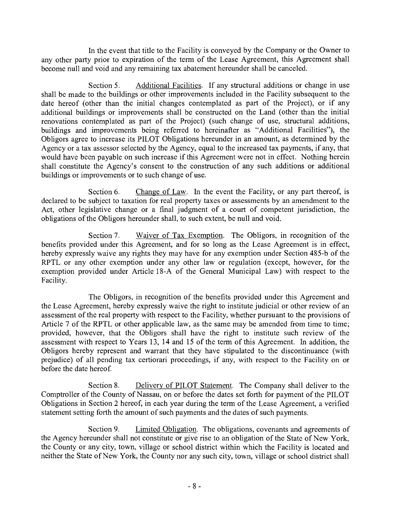In the event that title to the Facility is conveyed by the Company or the Owner to any other party prior to expiration of the term of the Lease Agreement, this Agreement shall become null and void and any remaining tax abatement hereunder shall be canceled.

Section 5. Additional Facilities. If any structural additions or change in use shall be made to the buildings or other improvements included in the Facility subsequent to the date hereof (other than the initial changes contemplated as part of the Project), or if any additional buildings or improvements shall be constructed on the Land (other than the initial renovations contemplated as part of the Project) (such change of use, structural additions, buildings and improvements being referred to hereinafter as "Additional Facilities"), the Obligors agree to increase its PILOT Obligations hereunder in an amount, as determined by the Agency or a tax assessor selected by the Agency, equal to the increased tax payments, if any, that would have been payable on such increase if this Agreement were not in effect. Nothing herein shall constitute the Agency's consent to the construction of any such additions or additional buildings or improvements or to such change of use.

Section 6. Change of Law. In the event the Facility, or any part thereof, is declared to be subject to taxation for real property taxes or assessments by an amendment to the Act, other legislative change or a final judgment of a court of competent jurisdiction, the obligations of the Obligors hereunder shall, to such extent, be null and void.

Section 7. Waiver of Tax Exemption. The Obligors, in recognition of the benefits provided under this Agreement, and for so long as the Lease Agreement is in effect, hereby expressly waive any rights they may have for any exemption under Section 485-b of the RPTL or any other exemption under any other law or regulation (except, however, for the exemption provided under Article 18-A of the General Municipal Law) with respect to the Facility.

The Obligors, in recognition of the benefits provided under this Agreement and the Lease Agreement, hereby expressly waive the right to institute judicial or other review of an assessment of the real property with respect to the Facility, whether pursuant to the provisions of Article 7 of the RPTL or other applicable law, as the same may be amended from time to time; provided, however, that the Obligors shall have the right to institute such review of the assessment with respect to Years 13, 14 and 15 of the term of this Agreement. In addition, the Obligors hereby represent and warrant that they have stipulated to the discontinuance (with prejudice) of all pending tax certiorari proceedings, if any, with respect to the Facility on or before the date hereof.

Section 8. Delivery of PILOT Statement. The Company shall deliver to the Comptroller of the County of Nassau, on or before the dates set forth for payment of the PILOT Obligations in Section 2 hereof, in each year during the term of the Lease Agreement, a verified statement setting forth the amount of such payments and the dates of such payments.

Section 9. Limited Obligation. The obligations, covenants and agreements of the Agency hereunder shall not constitute or give rise to an obligation of the State of New York, the County or any city, town, village or school district within which the Facility is located and neither the State of New York, the County nor any such city, town, village or school district shall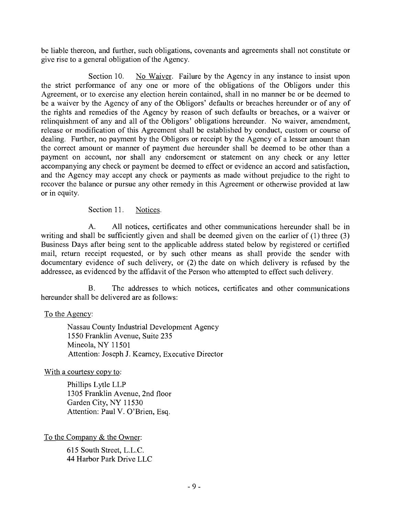be liable thereon, and further, such obligations, covenants and agreements shall not constitute or give rise to a general obligation of the Agency.

Section 10. No Waiver. Failure by the Agency in any instance to insist upon the strict perfonnance of any one or more of the obligations of the Obligors under this Agreement, or to exercise any election herein contained, shall in no manner be or be deemed to be a waiver by the Agency of any of the Obligors' defaults or breaches hereunder or of any of the rights and remedies of the Agency by reason of such defaults or breaches, or a waiver or relinquishment of any and all of the Obligors' obligations hereunder. No waiver, amendment, release or modification of this Agreement shall be established by conduct, custom or course of dealing. Further, no payment by the Obligors or receipt by the Agency of a lesser amount than the correct amount or manner of payment due hereunder shall be deemed to be other than a payment on account, nor shall any endorsement or statement on any check or any letter accompanying any check or payment be deemed to effect or evidence an accord and satisfaction, and the Agency may accept any check or payments as made without prejudice to the right to recover the balance or pursue any other remedy in this Agreement or otherwise provided at law or in equity.

Section 11. Notices.

 $A<sub>1</sub>$ All notices, certificates and other communications hereunder shall be in writing and shall be sufficiently given and shall be deemed given on the earlier of (1) three (3) Business Days after being sent to the applicable address stated below by registered or certified mail, return receipt requested, or by such other means as shall provide the sender with documentary evidence of such delivery, or (2) the date on which delivery is refused by the addressee, as evidenced by the affidavit of the Person who attempted to effect such delivery.

 $B<sub>1</sub>$ The addresses to which notices, certificates and other communications hereunder shall be delivered are as follows:

# To the Agency:

Nassau County Industrial Development Agency 1550 Franklin Avenue, Suite 235 Mineola, NY 11501 Attention: Joseph J. Keamey, Executive Director

With a courtesy copy to:

Phillips Lytle LLP 1305 Franklin Avenue, 2nd floor Garden City, NY 11530 Attention: Paul V. O'Brien, Esq.

To the Company & the Owner:

615 South Street, L.L.C. 44 Harbor Park Drive LLC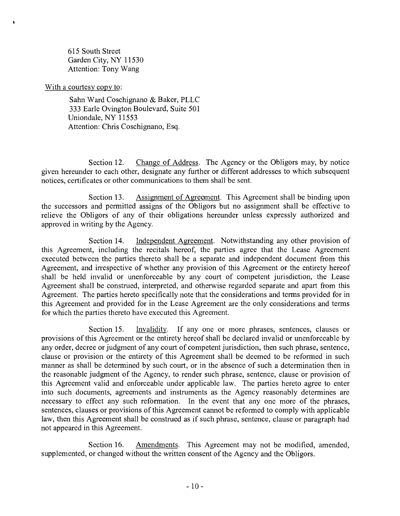615 South Street Garden City, NY 11530 Attention: Tony Wang

With a courtesy copy to:

 $\mathbf{e}$  and  $\mathbf{e}$ 

Sahn Ward Coschignano & Baker, PLLC 333 Earle Ovington Boulevard, Suite 501 Uniondale, NY 11553 Attention: Chris Coschignano, Esq.

Section 12. Change of Address. The Agency or the Obligors may, by notice given hereunder to each other, designate any further or different addresses to which subsequent notices, certificates or other communications to them shall be sent.

Section 13. Assigmnent of Agreement. This Agreement shall be binding upon the successors and permitted assigns of the Obligors but no assignment shall be effective to relieve the Obligors of any of their obligations hereunder unless expressly authorized and approved in writing by the Agency.

Section 14. Independent Agreement. Notwithstanding any other provision of this Agreement, including the recitals hereof, the parties agree that the Lease Agreement executed between the parties thereto shall be a separate and independent document from this Agreement, and irrespective of whether any provision of this Agreement or the entirety hereof shall be held invalid or unenforceable by any court of competent jurisdiction, the Lease Agreement shall be construed, interpreted, and otherwise regarded separate and apart from this Agreement. The parties hereto specifically note that the considerations and terms provided for in this Agreement and provided for in the Lease Agreement are the only considerations and terms for which the parties thereto have executed this Agreement.

Section 15. Invalidity. If any one or more phrases, sentences, clauses or provisions of this Agreement or the entirety hereof shall be declared invalid or unenforceable by any order, decree or judgment of any court of competent jurisdiction, then such phrase, sentence, clause or provision or the entirety of this Agreement shall be deemed to be refonned in such manner as shall be determined by such court, or in the absence of such a determination then in the reasonable judgment of the Agency, to render such phrase, sentence, clause or provision of this Agreement valid and enforceable under applicable law. The parties hereto agree to enter into such documents, agreements and instruments as the Agency reasonably determines are necessary to effect any such reformation. In the event that any one more of the phrases, sentences, clauses or provisions of this Agreement cannot be reformed to comply with applicable law, then this Agreement shall be construed as if such phrase, sentence, clause or paragraph had not appeared in this Agreement.

Section 16. Amendments. This Agreement may not be modified, amended, supplemented, or changed without the written consent of the Agency and the Obligors.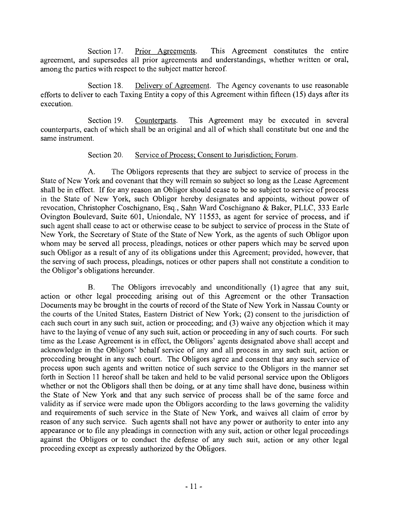Section 17. Prior Agreements. This Agreement constitutes the entire agreement, and supersedes all prior agreements and understandings, whether written or oral, among the parties with respect to the subject matter hereof.

Section 18. Delivery of Agreement. The Agency covenants to use reasonable efforts to deliver to each Taxing Entity a copy of this Agreement within fifteen (15) days after its execution.

Section 19. Counterparts. This Agreement may be executed in several counterparts, each of which shall be an original and all of which shall constitute but one and the same instrument.

# Section 20. Service of Process; Consent to Jurisdiction; Forum.

 $A<sub>1</sub>$ The Obligors represents that they are subject to service of process in the State of New York and covenant that they will remain so subject so long as the Lease Agreement shall be in effect. If for any reason an Obligor should cease to be so subject to service of process in the State of New York, such Obligor hereby designates and appoints, without power of revocation, Christopher Coschignano, Esq., Sahn Ward Coschignano & Baker, PLLC, 333 Earle Ovington Boulevard, Suite 601, Uniondale, NY 11553, as agent for service of process, and if such agent shall cease to act or otherwise cease to be subject to service of process in the State of New York, the Secretary of State of the State of New York, as the agents of such Obligor upon whom may be served all process, pleadings, notices or other papers which may be served upon such Obligor as a result of any of its obligations under this Agreement; provided, however, that the serving of such process, pleadings, notices or other papers shall not constitute a condition to the Obligor's obligations hereunder.

The Obligors irrevocably and unconditionally (1) agree that any suit,  $B<sub>r</sub>$ action or other legal proceeding arising out of this Agreement or the other Transaction Documents may be brought in the courts of record of the State of New York in Nassau County or the courts of the United States, Eastem District of New York; (2) consent to the jurisdiction of each such court in any such suit, action or proceeding; and (3) waive any objection which it may have to the laying of venue of any such suit, action or proceeding in any of such courts. For such time as the Lease Agreement is in effect, the Obligors' agents designated above shall accept and acknowledge in the Obligors' behalf service of any and all process in any such suit, action or proceeding brought in any such court. The Obligors agree and consent that any such service of process upon such agents and written notice of such service to the Obligors in the manner set forth in Section 11 hereof shall be taken and held to be valid personal service upon the Obligors whether or not the Obligors shall then be doing, or at any time shall have done, business within the State of New York and that any such service of process shall be of the same force and validity as if service were made upon the Obligors according to the laws goveming the validity and requirements of such service in the State of New York, and waives all claim of error by reason of any such service. Such agents shall not have any power or authority to enter into any appearance or to file any pleadings in connection with any suit, action or other legal proceedings against the Obligors or to conduct the defense of any such suit, action or any other legal proceeding except as expressly authorized by the Obligors.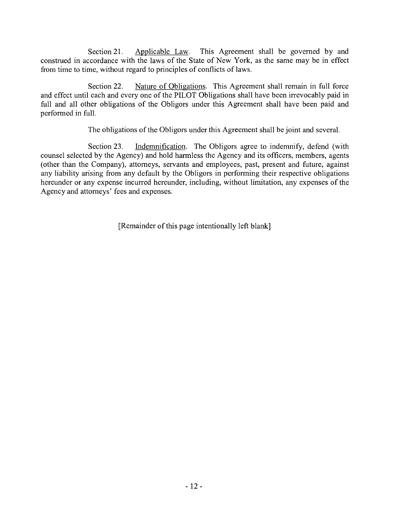Section 21. Applicable Law. This Agreement shall be governed by and construed in accordance with the laws of the State of New York, as the same may be in effect from time to time, without regard to principles of conflicts of laws.

Section 22. Nature of Obligations. This Agreement shall remain in full force and effect until each and every one of the PlLOT Obligations shall have been irrevocably paid in full and all other obligations of the Obligors under this Agreement shall have been paid and performed in full.

The obligations of the Obligors under this Agreement shall be joint and several.

Section 23. Indemnification. The Obligors agree to indemnify, defend (with counsel selected by the Agency) and hold harmless the Agency and its officers, members, agents (other than the Company), attomeys, servants and employees, past, present and future, against any liability arising from any default by the Obligors in performing their respective obligations hereunder or any expense incurred hereunder, including, without limitation, any expenses of the Agency and attomeys' fees and expenses.

[Remainder of this page intentionally left blank]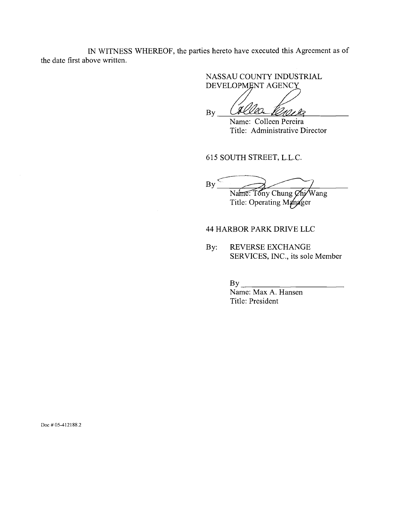IN WITNESS WHEREOF, the parties hereto have executed this Agreement as of the date first above written.

> NASSAU COUNTY INDUSTRIAL DEVELOPMENT AGENCY

By Colle

Name: Colleen Pereira Title: Administrative Director

615 SOUTH STREET, L.L.C.

By  $\qquad \qquad$ Na<del>ine: Tony Chung Chi/</del>Wang

# Title: Operating Manager

#### 44 HARBOR PARK DRIVE LLC

By: REVERSE EXCHANGE SERVICES, INC., its sole Member

By

Name: Max A. Hansen Title: President

Doc # 05-412188.2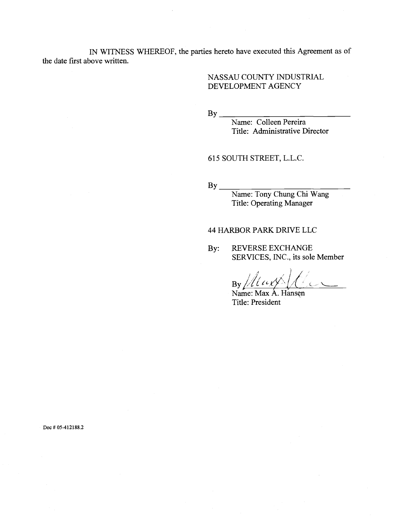IN WITNESS WHEREOF, the parties hereto have executed this Agreement as of the date first above written.

### NASSAU COUNTY INDUSTRIAL DEVELOPMENT AGENCY

By

Name: Colleen Pereira Title: Administrative Director

# 615 SOUTH STREET, L.L.C.

By

Name: Tony Chung Chi Wang Title: Operating Manager

#### 44 HARBOR PARK DRIVE LLC

By: REVERSE EXCHANGE SERVICES, INC., its sole Member

 $By$  /  $\frac{1}{\sqrt{2}}$ 

Name: Max A. Hansen Title: President

Doc # 05-412188.2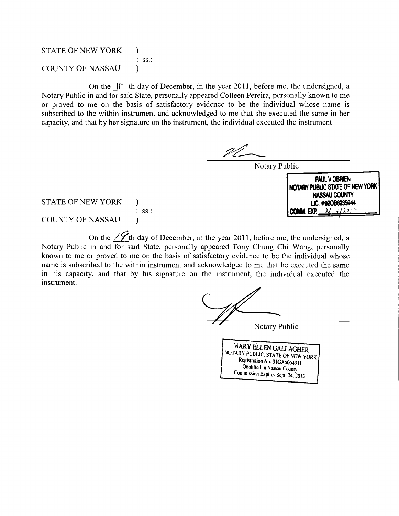STATE OF NEW YORK ) COUNTY OF NASSAU ss.:

On the  $\mathfrak{f}$  th day of December, in the year 2011, before me, the undersigned, a Notary Public in and for said State, personally appeared Colleen Pereira, personally known to me or proved to me on the basis of satisfactory evidence to be the individual whose name is subscribed to the within instrument and acknowledged to me that she executed the same in her capacity, and that by her signature on the instrument, the individual executed the instrument.

Notary Public



STATE OF NEW YORK )

COUNTY OF NASSAU $\lambda$ 

On the  $\angle$  th day of December, in the year 2011, before me, the undersigned, a Notary Public in and for said State, personally appeared Tony Chung Chi Wang, personally known to me or proved to me on the basis of satisfactory evidence to be the individual whose name is subscribed to the within instrument and acknowledged to me that he executed the same in his capacity, and that by his signature on the instrument, the individual executed the instrument.

Notary Public

Registration No. 01GA6064311<br>Qualified in Nassau County<br>Commission Expires Sept. 24, 2013 MARY ELLEN GALLAGHER NOTARY PUBLIC, STATE OF NEW YORK Registration No. 01GA6064311 Qualified in Nassau County Commission Expires Sept. 24, 2013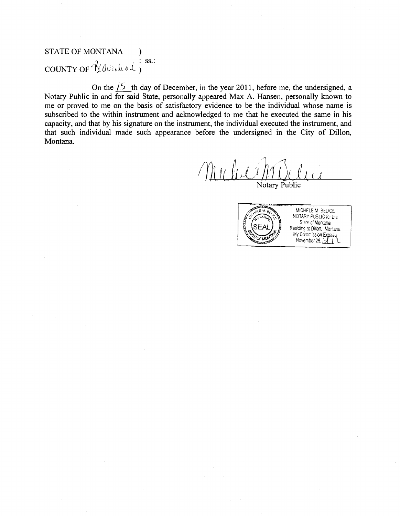# STATE OF MONTANA  $:$  SS.: countror Kaveckol;

On the  $\frac{15}{15}$  th day of December, in the year 2011, before me, the undersigned, a Notary Public in and for said State, personally appeared Max A. Hansen, personally known to me or proved to me on the basis of satisfactory evidence to be the individual whose name is subscribed to the within instrument and acknowledged to me that he executed the same in his capacity, and that by his signature on the instrument, the individual executed the instrument, and that such individual made such appearance before the undersigned in the City of Dillon, Montana.

 $\sin\theta$  $\mathcal{L}$ 

Notary Public